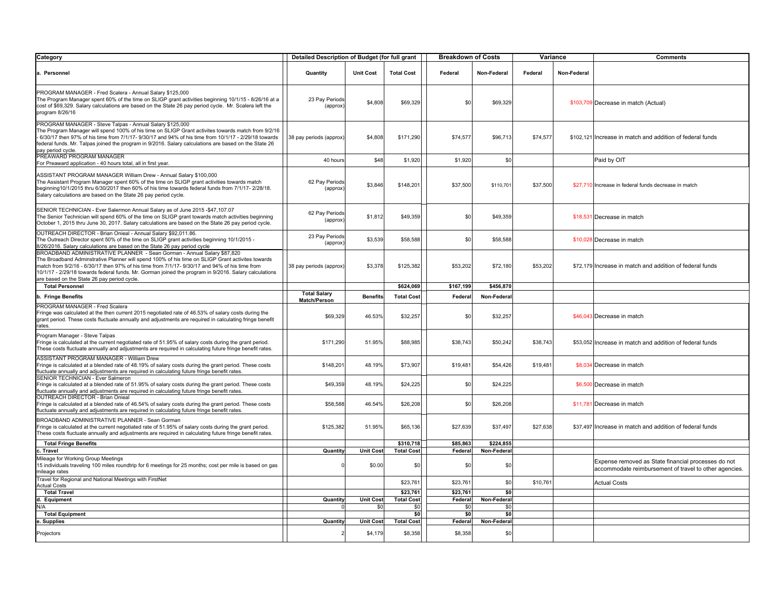| Category                                                                                                                                                                                                                                                                                                                                                                                                                              | Detailed Description of Budget (for full grant |                  |                   | <b>Breakdown of Costs</b> |             | Variance |             | <b>Comments</b>                                                                                               |
|---------------------------------------------------------------------------------------------------------------------------------------------------------------------------------------------------------------------------------------------------------------------------------------------------------------------------------------------------------------------------------------------------------------------------------------|------------------------------------------------|------------------|-------------------|---------------------------|-------------|----------|-------------|---------------------------------------------------------------------------------------------------------------|
| a. Personnel                                                                                                                                                                                                                                                                                                                                                                                                                          | Quantity                                       | <b>Unit Cost</b> | <b>Total Cost</b> | Federal                   | Non-Federal | Federal  | Non-Federal |                                                                                                               |
| PROGRAM MANAGER - Fred Scalera - Annual Salary \$125,000<br>The Program Manager spent 60% of the time on SLIGP grant activities beginning 10/1/15 - 8/26/16 at a<br>cost of \$69,329. Salary calculations are based on the State 26 pay period cycle. Mr. Scalera left the<br>program 8/26/16                                                                                                                                         | 23 Pay Periods<br>(approx)                     | \$4,808          | \$69,329          | \$0                       | \$69,329    |          |             | \$103,709 Decrease in match (Actual)                                                                          |
| PROGRAM MANAGER - Steve Talpas - Annual Salary \$125,000<br>The Program Manager will spend 100% of his time on SLIGP Grant activites towards match from 9/2/16<br>6/30/17 then 97% of his time from 7/1/17- 9/30/17 and 94% of his time from 10/1/17 - 2/29/18 towards<br>federal funds. Mr. Talpas joined the program in 9/2016. Salary calculations are based on the State 26<br>pay period cycle                                   | 38 pay periods (approx)                        | \$4,808          | \$171,290         | \$74,577                  | \$96,713    | \$74,577 |             | \$102,121 Increase in match and addition of federal funds                                                     |
| PREAWARD PROGRAM MANAGER<br>For Preaward application - 40 hours total, all in first year.                                                                                                                                                                                                                                                                                                                                             | 40 hours                                       | \$48             | \$1,920           | \$1,920                   | \$0         |          |             | Paid by OIT                                                                                                   |
| ASSISTANT PROGRAM MANAGER William Drew - Annual Salary \$100,000<br>The Assistant Program Manager spent 60% of the time on SLIGP grant activities towards match<br>beginning10/1/2015 thru 6/30/2017 then 60% of his time towards federal funds from 7/1/17- 2/28/18.<br>Salary calculations are based on the State 26 pay period cycle.                                                                                              | 62 Pav Periods<br>(approx)                     | \$3.846          | \$148,201         | \$37,500                  | \$110,701   | \$37,500 |             | \$27.710 Increase in federal funds decrease in match                                                          |
| SENIOR TECHNICIAN - Ever Salermon Annual Salary as of June 2015 - \$47,107.07<br>The Senior Technician will spend 60% of the time on SLIGP grant towards match activities beginning<br>October 1, 2015 thru June 30, 2017. Salary calculations are based on the State 26 pay period cycle.                                                                                                                                            | 62 Pay Periods<br>(approx)                     | \$1,812          | \$49,359          | \$0                       | \$49,359    |          |             | \$18,531 Decrease in match                                                                                    |
| OUTREACH DIRECTOR - Brian Onieal - Annual Salary \$92,011.86.<br>The Outreach Director spent 50% of the time on SLIGP grant activities beginning 10/1/2015 -<br>3/26/2016. Salary calculations are based on the State 26 pay period cycle                                                                                                                                                                                             | 23 Pay Periods<br>(approx)                     | \$3,539          | \$58,588          | \$0                       | \$58,588    |          |             | \$10,028 Decrease in match                                                                                    |
| BROADBAND ADMINISTRATIVE PLANNER - Sean Gorman - Annual Salary \$87,820<br>The Broadband Adminstrative Planner will spend 100% of his time on SLIGP Grant activites towards<br>match from 9/2/16 - 6/30/17 then 97% of his time from 7/1/17- 9/30/17 and 94% of his time from<br>10/1/17 - 2/29/18 towards federal funds. Mr. Gorman joined the program in 9/2016. Salary calculations<br>are based on the State 26 pay period cycle. | 38 pay periods (approx)                        | \$3,378          | \$125,382         | \$53,202                  | \$72,180    | \$53,202 |             | \$72,179 Increase in match and addition of federal funds                                                      |
| <b>Total Personnel</b>                                                                                                                                                                                                                                                                                                                                                                                                                |                                                |                  | \$624,069         | \$167,199                 | \$456,870   |          |             |                                                                                                               |
| b. Fringe Benefits                                                                                                                                                                                                                                                                                                                                                                                                                    | <b>Total Salary</b><br>Match/Person            | <b>Benefits</b>  | <b>Total Cost</b> | Federa                    | Non-Federa  |          |             |                                                                                                               |
| PROGRAM MANAGER - Fred Scalera<br>Fringe was calculated at the then current 2015 negotiated rate of 46.53% of salary costs during the<br>grant period. These costs fluctuate annually and adjustments are required in calculating fringe benefit<br>rates                                                                                                                                                                             | \$69,329                                       | 46.53%           | \$32,257          | \$0                       | \$32,257    |          |             | \$46,043 Decrease in match                                                                                    |
| Program Manager - Steve Talpas<br>Fringe is calculated at the current negotiated rate of 51.95% of salary costs during the grant period.<br>These costs fluctuate annually and adjustments are required in calculating future fringe benefit rates.                                                                                                                                                                                   | \$171,290                                      | 51.95%           | \$88,985          | \$38,743                  | \$50,242    | \$38,743 |             | \$53,052 Increase in match and addition of federal funds                                                      |
| ASSISTANT PROGRAM MANAGER - William Drew<br>Fringe is calculated at a blended rate of 48.19% of salary costs during the grant period. These costs<br>luctuate annually and adjustments are required in calculating future fringe benefit rates.                                                                                                                                                                                       | \$148,201                                      | 48.19%           | \$73,907          | \$19,481                  | \$54,426    | \$19,481 |             | \$8,034 Decrease in match                                                                                     |
| SENIOR TECHNICIAN - Ever Salmeron<br>Fringe is calculated at a blended rate of 51.95% of salary costs during the grant period. These costs<br>fluctuate annually and adjustments are required in calculating future fringe benefit rates.                                                                                                                                                                                             | \$49,359                                       | 48.19%           | \$24.225          | \$0                       | \$24.225    |          |             | \$6,500 Decrease in match                                                                                     |
| OUTREACH DIRECTOR - Brian Onieal<br>Fringe is calculated at a blended rate of 46.54% of salary costs during the grant period. These costs<br>fluctuate annually and adjustments are required in calculating future fringe benefit rates.                                                                                                                                                                                              | \$58,588                                       | 46.54%           | \$26,208          | \$0                       | \$26,208    |          |             | \$11,781 Decrease in match                                                                                    |
| BROADBAND ADMINISTRATIVE PLANNER - Sean Gorman<br>Fringe is calculated at the current negotiated rate of 51.95% of salary costs during the grant period.<br>These costs fluctuate annually and adjustments are required in calculating future fringe benefit rates.                                                                                                                                                                   | \$125,382                                      | 51.95%           | \$65,136          | \$27,639                  | \$37,497    | \$27,638 |             | \$37,497 Increase in match and addition of federal funds                                                      |
| <b>Total Fringe Benefits</b>                                                                                                                                                                                                                                                                                                                                                                                                          |                                                |                  | \$310,718         | \$85,863                  | \$224,855   |          |             |                                                                                                               |
| . Travel                                                                                                                                                                                                                                                                                                                                                                                                                              | Quantity                                       | <b>Unit Cost</b> | <b>Total Cost</b> | Federal                   | Non-Federal |          |             |                                                                                                               |
| Mileage for Working Group Meetings<br>5 individuals traveling 100 miles roundtrip for 6 meetings for 25 months; cost per mile is based on gas<br>nileage rates                                                                                                                                                                                                                                                                        |                                                | \$0.00           | \$0               | \$0                       | \$0         |          |             | Expense removed as State financial processes do not<br>accommodate reimbursement of travel to other agencies. |
| Travel for Regional and National Meetings with FirstNet<br><b>Actual Costs</b>                                                                                                                                                                                                                                                                                                                                                        |                                                |                  | \$23,761          | \$23,761                  | \$0         | \$10,76  |             | <b>Actual Costs</b>                                                                                           |
| <b>Total Travel</b>                                                                                                                                                                                                                                                                                                                                                                                                                   |                                                |                  | \$23,761          | \$23,761                  | \$0         |          |             |                                                                                                               |
| d. Equipment                                                                                                                                                                                                                                                                                                                                                                                                                          | <b>Quantity</b>                                | <b>Unit Cost</b> | <b>Total Cost</b> | Federal                   | Non-Federal |          |             |                                                                                                               |
| N/A                                                                                                                                                                                                                                                                                                                                                                                                                                   |                                                | \$0              | \$0               | \$0                       | \$0         |          |             |                                                                                                               |
| <b>Total Equipment</b>                                                                                                                                                                                                                                                                                                                                                                                                                |                                                |                  | <b>SO</b>         | <b>SO</b>                 | \$0         |          |             |                                                                                                               |
| e. Supplies                                                                                                                                                                                                                                                                                                                                                                                                                           | Quantity                                       | <b>Unit Cost</b> | <b>Total Cost</b> | Federal                   | Non-Federal |          |             |                                                                                                               |
| Projectors                                                                                                                                                                                                                                                                                                                                                                                                                            |                                                | \$4,179          | \$8,358           | \$8,358                   | \$0         |          |             |                                                                                                               |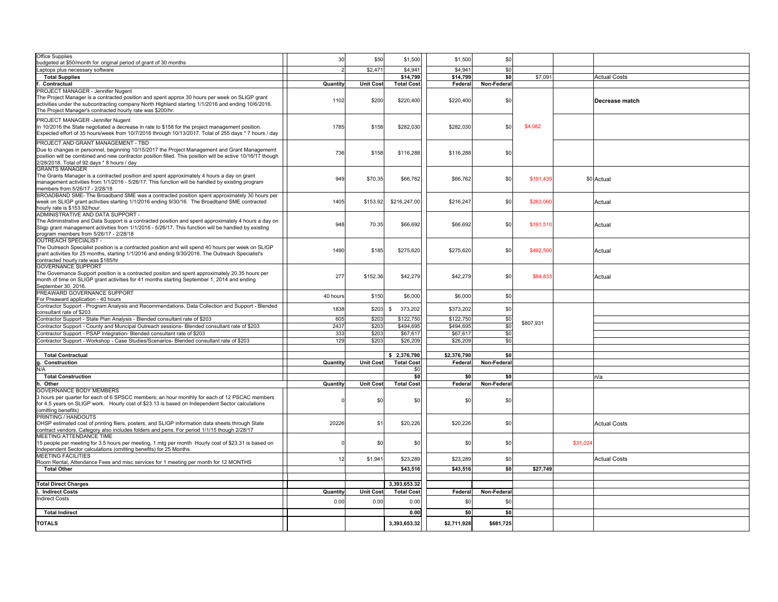| <b>Office Supplies</b>                                                                                                                                                                                                                                                                                  | 30       | \$50             | \$1,500           | \$1,500         | \$0         |           |          |                     |
|---------------------------------------------------------------------------------------------------------------------------------------------------------------------------------------------------------------------------------------------------------------------------------------------------------|----------|------------------|-------------------|-----------------|-------------|-----------|----------|---------------------|
| budgeted at \$50/month for original period of grant of 30 months                                                                                                                                                                                                                                        |          |                  |                   |                 |             |           |          |                     |
| Laptops plus necessary software                                                                                                                                                                                                                                                                         |          | \$2.47'          | \$4.941           | \$4,941         | \$0         |           |          |                     |
| <b>Total Supplies</b>                                                                                                                                                                                                                                                                                   |          |                  | \$14.799          | \$14.799        | \$0         | \$7.09    |          | <b>Actual Costs</b> |
| Contractual                                                                                                                                                                                                                                                                                             | Quantity | <b>Unit Cost</b> | <b>Total Cost</b> | Federal         | Non-Federal |           |          |                     |
| PROJECT MANAGER - Jennifer Nugent<br>The Project Manager is a contracted position and spent approx 30 hours per week on SLIGP grant<br>activities under the subcontracting company North Highland starting 1/1/2016 and ending 10/6/2016.<br>The Project Manager's contracted hourly rate was \$200/hr. | 1102     | \$200            | \$220,400         | \$220,400       | \$0         |           |          | Decrease match      |
| PROJECT MANAGER -Jennifer Nugent<br>In 10/2016 the State negotiated a decrease in rate to \$158 for the project management position.<br>Expected effort of 35 hours/week from 10/7/2016 through 10/13/2017. Total of 255 days * 7 hours / day                                                           | 1785     | \$158            | \$282,030         | \$282,030       | \$0         | \$4,082   |          |                     |
| PROJECT AND GRANT MANAGEMENT - TBD<br>Due to changes in personnel, beginning 10/15/2017 the Project Management and Grant Managememt<br>position will be combined and new contractor position filled. This position will be active 10/16/17 though<br>2/28/2018. Total of 92 days * 8 hours / day        | 736      | \$158            | \$116,288         | \$116,288       | \$0         |           |          |                     |
| <b>GRANTS MANAGER</b><br>The Grants Manager is a contracted position and spent approximately 4 hours a day on grant<br>management activities from 1/1/2016 - 5/26/17. This function will be handled by existing program<br>members from 5/26/17 - 2/28/18                                               | 949      | \$70.35          | \$66,762          | \$66,762        | \$0         | \$191,43  |          | \$0 Actual          |
| BROADBAND SME- The Broadband SME was a contracted position spent approximately 30 hours per<br>week on SLIGP grant activities starting 1/1/2016 ending 9/30/16. The Broadband SME contracted<br>hourly rate is \$153.92/hour.                                                                           | 1405     | \$153.92         | \$216,247.00      | \$216,247       | \$0         | \$263,06  |          | Actual              |
| ADMINISTRATIVE AND DATA SUPPORT -<br>The Adminstrative and Data Support is a contracted position and spent approximately 4 hours a day on<br>Sligp grant management activities from 1/1/2016 - 5/26/17. This function will be handled by existing<br>program members from 5/26/17 - 2/28/18             | 948      | 70.35            | \$66,692          | \$66,692        | \$0         | \$191,51  |          | Actual              |
| <b>OUTREACH SPECIALIST -</b><br>The Outreach Specialist position is a contracted position and will spend 40 hours per week on SLIGP<br>grant activities for 25 months, starting 1/1/2016 and ending 9/30/2016. The Outreach Specialist's<br>contracted hourly rate was \$185/hr                         | 1490     | \$185            | \$275,620         | \$275.620       | \$0         | \$492.50  |          | Actual              |
| <b>GOVERNANCE SUPPORT</b><br>The Governance Support position is a contracted positon and spent approximately 20.35 hours per<br>month of time on SLIGP grant activities for 41 months starting September 1, 2014 and ending<br>September 30, 2016.                                                      | 277      | \$152.36         | \$42,279          | \$42,279        | \$0         | \$84,83   |          | Actual              |
| PREAWARD GOVERNANCE SUPPORT<br>For Preaward application - 40 hours                                                                                                                                                                                                                                      | 40 hours | \$150            | \$6,000           | \$6,000         | \$0         |           |          |                     |
| Contractor Support - Program Analysis and Recommendations, Data Collection and Support - Blended<br>consultant rate of \$203                                                                                                                                                                            | 1838     | \$203            | 373,202<br>\$     | \$373,202       | \$0         |           |          |                     |
| Contractor Support - State Plan Analysis - Blended consultant rate of \$203                                                                                                                                                                                                                             | 605      | \$203            | \$122,750         | \$122,750       | \$0         |           |          |                     |
| Contractor Support - County and Muncipal Outreach sessions- Blended consultant rate of \$203                                                                                                                                                                                                            | 2437     | \$203            | \$494,695         | \$494.695       | \$0         | \$807,931 |          |                     |
| Contractor Support - PSAP Integration- Blended consultant rate of \$203                                                                                                                                                                                                                                 | 333      | \$203            | \$67,617          | \$67,617        | \$0         |           |          |                     |
| Contractor Support - Workshop - Case Studies/Scenarios- Blended consultant rate of \$203                                                                                                                                                                                                                | 129      | \$203            | \$26,209          | \$26,209        | \$0         |           |          |                     |
|                                                                                                                                                                                                                                                                                                         |          |                  |                   |                 |             |           |          |                     |
| <b>Total Contractual</b>                                                                                                                                                                                                                                                                                |          |                  | \$2,376,790       | \$2,376,790     | \$0         |           |          |                     |
| q. Construction                                                                                                                                                                                                                                                                                         | Quantity | <b>Unit Cost</b> | <b>Total Cost</b> | Federal         | Non-Federal |           |          |                     |
| N/A                                                                                                                                                                                                                                                                                                     |          |                  | \$C               |                 |             |           |          |                     |
| <b>Total Construction</b>                                                                                                                                                                                                                                                                               |          |                  | \$0               | \$0             | \$0         |           |          | n/a                 |
| h. Other                                                                                                                                                                                                                                                                                                | Quantity | <b>Unit Cost</b> | <b>Total Cost</b> | Federal         | Non-Federal |           |          |                     |
| <b>GOVERNANCE BODY MEMBERS</b><br>3 hours per quarter for each of 6 SPSCC members; an hour monthly for each of 12 PSCAC members<br>for 4.5 years on SLIGP work. Hourly cost of \$23.13 is based on Independent Sector calculations<br>(omitting benefits)                                               |          | \$0              | \$0               | \$ <sub>6</sub> | \$0         |           |          |                     |
| PRINTING / HANDOUTS<br>OHSP estimated cost of printing fliers, posters, and SLIGP information data sheets through State<br>contract vendors. Category also includes folders and pens. For period 1/1/15 though 2/28/17                                                                                  | 20226    | \$1              | \$20,226          | \$20,226        | \$0         |           |          | <b>Actual Costs</b> |
| MEETING ATTENDANCE TIME<br>15 people per meeting for 3.5 hours per meeting, 1 mtg per month Hourly cost of \$23.31 is based on<br>Independent Sector calculations (omitting benefits) for 25 Months.                                                                                                    |          | \$0              | \$0               | \$0             | \$0         |           | \$31,024 |                     |
| <b>MEETING FACILITIES</b><br>Room Rental, Attendance Fees and misc services for 1 meeting per month for 12 MONTHS                                                                                                                                                                                       | 12       | \$1,941          | \$23,289          | \$23,289        | \$0         |           |          | <b>Actual Costs</b> |
| <b>Total Other</b>                                                                                                                                                                                                                                                                                      |          |                  | \$43,516          | \$43,516        | \$0         | \$27,749  |          |                     |
|                                                                                                                                                                                                                                                                                                         |          |                  |                   |                 |             |           |          |                     |
| <b>Total Direct Charges</b>                                                                                                                                                                                                                                                                             |          |                  | 3,393,653.32      |                 |             |           |          |                     |
| <b>Indirect Costs</b>                                                                                                                                                                                                                                                                                   | Quantity | <b>Unit Cost</b> | <b>Total Cost</b> | Federal         | Non-Federal |           |          |                     |
| <b>Indirect Costs</b>                                                                                                                                                                                                                                                                                   | 0.00     | 0.00             | 0.00              | \$0             | \$0         |           |          |                     |
| <b>Total Indirect</b>                                                                                                                                                                                                                                                                                   |          |                  | 0.00              | \$0             | \$0         |           |          |                     |
| <b>TOTALS</b>                                                                                                                                                                                                                                                                                           |          |                  | 3,393,653.32      | \$2,711,928     | \$681,725   |           |          |                     |
|                                                                                                                                                                                                                                                                                                         |          |                  |                   |                 |             |           |          |                     |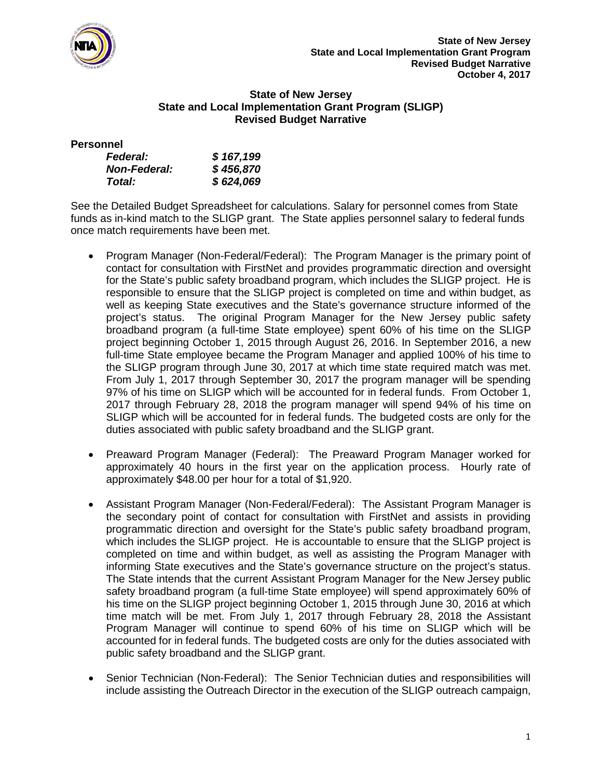

### **State of New Jersey State and Local Implementation Grant Program (SLIGP) Revised Budget Narrative**

### **Personnel**

| <b>Federal:</b>     | \$167,199 |
|---------------------|-----------|
| <b>Non-Federal:</b> | \$456,870 |
| Total:              | \$624,069 |

See the Detailed Budget Spreadsheet for calculations. Salary for personnel comes from State funds as in-kind match to the SLIGP grant. The State applies personnel salary to federal funds once match requirements have been met.

- Program Manager (Non-Federal/Federal): The Program Manager is the primary point of contact for consultation with FirstNet and provides programmatic direction and oversight for the State's public safety broadband program, which includes the SLIGP project. He is responsible to ensure that the SLIGP project is completed on time and within budget, as well as keeping State executives and the State's governance structure informed of the project's status. The original Program Manager for the New Jersey public safety broadband program (a full-time State employee) spent 60% of his time on the SLIGP project beginning October 1, 2015 through August 26, 2016. In September 2016, a new full-time State employee became the Program Manager and applied 100% of his time to the SLIGP program through June 30, 2017 at which time state required match was met. From July 1, 2017 through September 30, 2017 the program manager will be spending 97% of his time on SLIGP which will be accounted for in federal funds. From October 1, 2017 through February 28, 2018 the program manager will spend 94% of his time on SLIGP which will be accounted for in federal funds. The budgeted costs are only for the duties associated with public safety broadband and the SLIGP grant.
- Preaward Program Manager (Federal): The Preaward Program Manager worked for approximately 40 hours in the first year on the application process. Hourly rate of approximately \$48.00 per hour for a total of \$1,920.
- Assistant Program Manager (Non-Federal/Federal): The Assistant Program Manager is the secondary point of contact for consultation with FirstNet and assists in providing programmatic direction and oversight for the State's public safety broadband program, which includes the SLIGP project. He is accountable to ensure that the SLIGP project is completed on time and within budget, as well as assisting the Program Manager with informing State executives and the State's governance structure on the project's status. The State intends that the current Assistant Program Manager for the New Jersey public safety broadband program (a full-time State employee) will spend approximately 60% of his time on the SLIGP project beginning October 1, 2015 through June 30, 2016 at which time match will be met. From July 1, 2017 through February 28, 2018 the Assistant Program Manager will continue to spend 60% of his time on SLIGP which will be accounted for in federal funds. The budgeted costs are only for the duties associated with public safety broadband and the SLIGP grant.
- Senior Technician (Non-Federal): The Senior Technician duties and responsibilities will include assisting the Outreach Director in the execution of the SLIGP outreach campaign,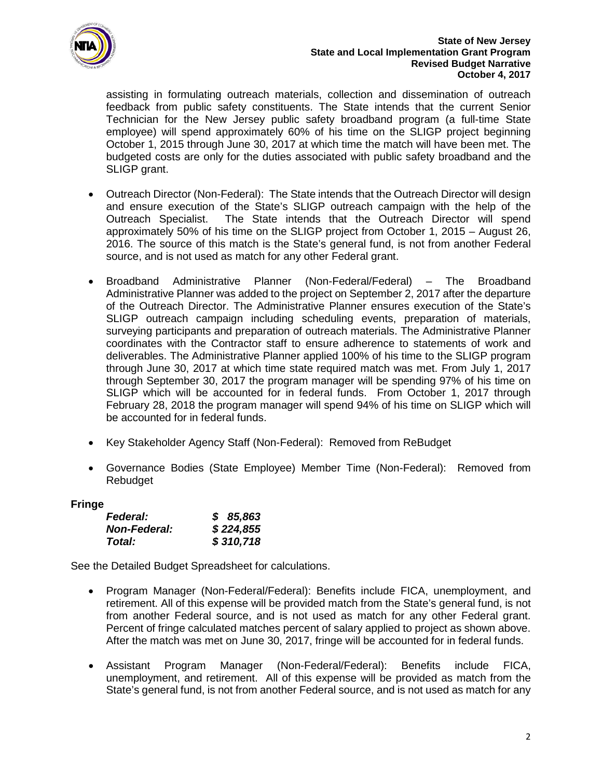

assisting in formulating outreach materials, collection and dissemination of outreach feedback from public safety constituents. The State intends that the current Senior Technician for the New Jersey public safety broadband program (a full-time State employee) will spend approximately 60% of his time on the SLIGP project beginning October 1, 2015 through June 30, 2017 at which time the match will have been met. The budgeted costs are only for the duties associated with public safety broadband and the SLIGP grant.

- Outreach Director (Non-Federal): The State intends that the Outreach Director will design and ensure execution of the State's SLIGP outreach campaign with the help of the Outreach Specialist. The State intends that the Outreach Director will spend approximately 50% of his time on the SLIGP project from October 1, 2015 – August 26, 2016. The source of this match is the State's general fund, is not from another Federal source, and is not used as match for any other Federal grant.
- Broadband Administrative Planner (Non-Federal/Federal) The Broadband Administrative Planner was added to the project on September 2, 2017 after the departure of the Outreach Director. The Administrative Planner ensures execution of the State's SLIGP outreach campaign including scheduling events, preparation of materials, surveying participants and preparation of outreach materials. The Administrative Planner coordinates with the Contractor staff to ensure adherence to statements of work and deliverables. The Administrative Planner applied 100% of his time to the SLIGP program through June 30, 2017 at which time state required match was met. From July 1, 2017 through September 30, 2017 the program manager will be spending 97% of his time on SLIGP which will be accounted for in federal funds. From October 1, 2017 through February 28, 2018 the program manager will spend 94% of his time on SLIGP which will be accounted for in federal funds.
- Key Stakeholder Agency Staff (Non-Federal): Removed from ReBudget
- Governance Bodies (State Employee) Member Time (Non-Federal): Removed from Rebudget

# **Fringe**

| <b>Federal:</b>     | \$85,863  |
|---------------------|-----------|
| <b>Non-Federal:</b> | \$224,855 |
| Total:              | \$310,718 |

See the Detailed Budget Spreadsheet for calculations.

- Program Manager (Non-Federal/Federal): Benefits include FICA, unemployment, and retirement. All of this expense will be provided match from the State's general fund, is not from another Federal source, and is not used as match for any other Federal grant. Percent of fringe calculated matches percent of salary applied to project as shown above. After the match was met on June 30, 2017, fringe will be accounted for in federal funds.
- Assistant Program Manager (Non-Federal/Federal): Benefits include FICA, unemployment, and retirement. All of this expense will be provided as match from the State's general fund, is not from another Federal source, and is not used as match for any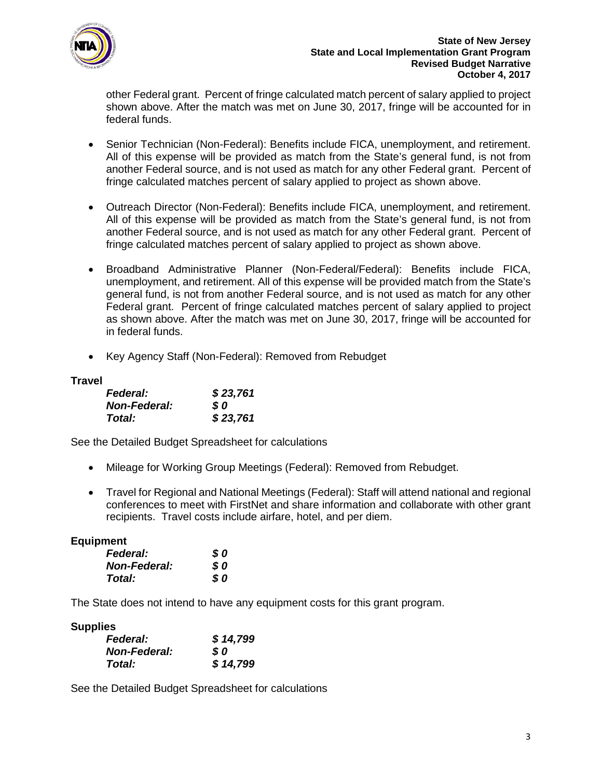

other Federal grant. Percent of fringe calculated match percent of salary applied to project shown above. After the match was met on June 30, 2017, fringe will be accounted for in federal funds.

- Senior Technician (Non-Federal): Benefits include FICA, unemployment, and retirement. All of this expense will be provided as match from the State's general fund, is not from another Federal source, and is not used as match for any other Federal grant. Percent of fringe calculated matches percent of salary applied to project as shown above.
- Outreach Director (Non-Federal): Benefits include FICA, unemployment, and retirement. All of this expense will be provided as match from the State's general fund, is not from another Federal source, and is not used as match for any other Federal grant. Percent of fringe calculated matches percent of salary applied to project as shown above.
- Broadband Administrative Planner (Non-Federal/Federal): Benefits include FICA, unemployment, and retirement. All of this expense will be provided match from the State's general fund, is not from another Federal source, and is not used as match for any other Federal grant. Percent of fringe calculated matches percent of salary applied to project as shown above. After the match was met on June 30, 2017, fringe will be accounted for in federal funds.
- Key Agency Staff (Non-Federal): Removed from Rebudget

# **Travel**

| <b>Federal:</b>     | \$23,761 |
|---------------------|----------|
| <b>Non-Federal:</b> | S 0      |
| Total:              | \$23,761 |

See the Detailed Budget Spreadsheet for calculations

- Mileage for Working Group Meetings (Federal): Removed from Rebudget.
- Travel for Regional and National Meetings (Federal): Staff will attend national and regional conferences to meet with FirstNet and share information and collaborate with other grant recipients. Travel costs include airfare, hotel, and per diem.

# **Equipment**

| <b>Federal:</b>     | \$0 |
|---------------------|-----|
| <b>Non-Federal:</b> | S 0 |
| Total:              | \$0 |

The State does not intend to have any equipment costs for this grant program.

## **Supplies**

| <b>Federal:</b>     | \$14,799 |
|---------------------|----------|
| <b>Non-Federal:</b> | S 0      |
| Total:              | \$14,799 |

See the Detailed Budget Spreadsheet for calculations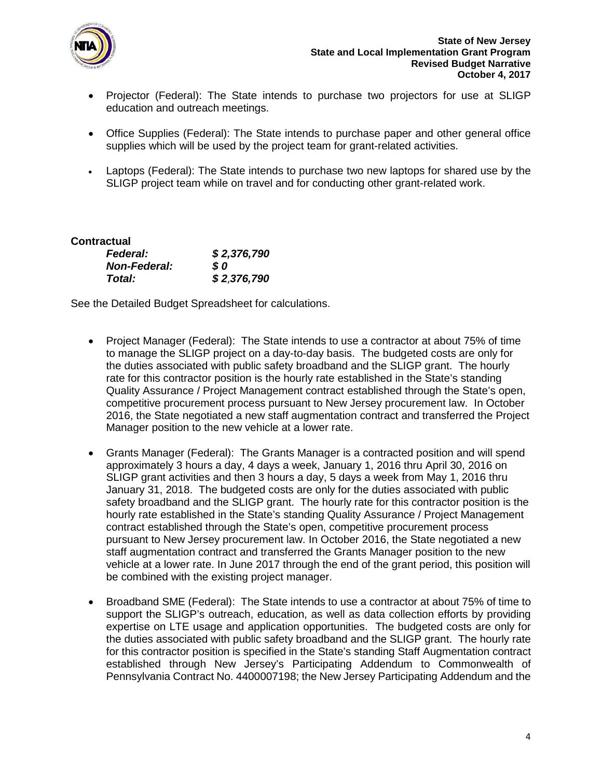

- Projector (Federal): The State intends to purchase two projectors for use at SLIGP education and outreach meetings.
- Office Supplies (Federal): The State intends to purchase paper and other general office supplies which will be used by the project team for grant-related activities.
- Laptops (Federal): The State intends to purchase two new laptops for shared use by the SLIGP project team while on travel and for conducting other grant-related work.

| Contractual         |             |
|---------------------|-------------|
| <b>Federal:</b>     | \$2,376,790 |
| <b>Non-Federal:</b> | SO.         |
| Total:              | \$2,376,790 |

See the Detailed Budget Spreadsheet for calculations.

- Project Manager (Federal): The State intends to use a contractor at about 75% of time to manage the SLIGP project on a day-to-day basis. The budgeted costs are only for the duties associated with public safety broadband and the SLIGP grant. The hourly rate for this contractor position is the hourly rate established in the State's standing Quality Assurance / Project Management contract established through the State's open, competitive procurement process pursuant to New Jersey procurement law. In October 2016, the State negotiated a new staff augmentation contract and transferred the Project Manager position to the new vehicle at a lower rate.
- Grants Manager (Federal): The Grants Manager is a contracted position and will spend approximately 3 hours a day, 4 days a week, January 1, 2016 thru April 30, 2016 on SLIGP grant activities and then 3 hours a day, 5 days a week from May 1, 2016 thru January 31, 2018. The budgeted costs are only for the duties associated with public safety broadband and the SLIGP grant. The hourly rate for this contractor position is the hourly rate established in the State's standing Quality Assurance / Project Management contract established through the State's open, competitive procurement process pursuant to New Jersey procurement law. In October 2016, the State negotiated a new staff augmentation contract and transferred the Grants Manager position to the new vehicle at a lower rate. In June 2017 through the end of the grant period, this position will be combined with the existing project manager.
- Broadband SME (Federal): The State intends to use a contractor at about 75% of time to support the SLIGP's outreach, education, as well as data collection efforts by providing expertise on LTE usage and application opportunities. The budgeted costs are only for the duties associated with public safety broadband and the SLIGP grant. The hourly rate for this contractor position is specified in the State's standing Staff Augmentation contract established through New Jersey's Participating Addendum to Commonwealth of Pennsylvania Contract No. 4400007198; the New Jersey Participating Addendum and the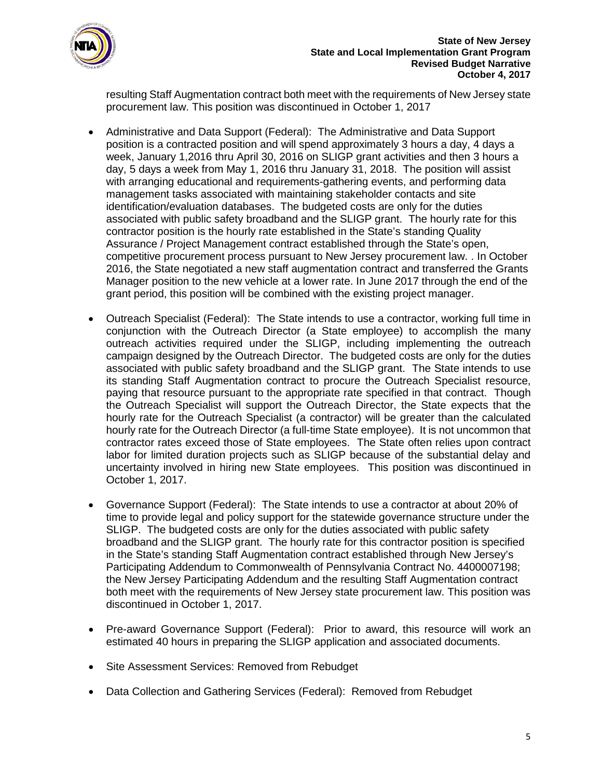

resulting Staff Augmentation contract both meet with the requirements of New Jersey state procurement law. This position was discontinued in October 1, 2017

- Administrative and Data Support (Federal): The Administrative and Data Support position is a contracted position and will spend approximately 3 hours a day, 4 days a week, January 1,2016 thru April 30, 2016 on SLIGP grant activities and then 3 hours a day, 5 days a week from May 1, 2016 thru January 31, 2018. The position will assist with arranging educational and requirements-gathering events, and performing data management tasks associated with maintaining stakeholder contacts and site identification/evaluation databases. The budgeted costs are only for the duties associated with public safety broadband and the SLIGP grant. The hourly rate for this contractor position is the hourly rate established in the State's standing Quality Assurance / Project Management contract established through the State's open, competitive procurement process pursuant to New Jersey procurement law. . In October 2016, the State negotiated a new staff augmentation contract and transferred the Grants Manager position to the new vehicle at a lower rate. In June 2017 through the end of the grant period, this position will be combined with the existing project manager.
- Outreach Specialist (Federal): The State intends to use a contractor, working full time in conjunction with the Outreach Director (a State employee) to accomplish the many outreach activities required under the SLIGP, including implementing the outreach campaign designed by the Outreach Director. The budgeted costs are only for the duties associated with public safety broadband and the SLIGP grant. The State intends to use its standing Staff Augmentation contract to procure the Outreach Specialist resource, paying that resource pursuant to the appropriate rate specified in that contract. Though the Outreach Specialist will support the Outreach Director, the State expects that the hourly rate for the Outreach Specialist (a contractor) will be greater than the calculated hourly rate for the Outreach Director (a full-time State employee). It is not uncommon that contractor rates exceed those of State employees. The State often relies upon contract labor for limited duration projects such as SLIGP because of the substantial delay and uncertainty involved in hiring new State employees. This position was discontinued in October 1, 2017.
- Governance Support (Federal): The State intends to use a contractor at about 20% of time to provide legal and policy support for the statewide governance structure under the SLIGP. The budgeted costs are only for the duties associated with public safety broadband and the SLIGP grant. The hourly rate for this contractor position is specified in the State's standing Staff Augmentation contract established through New Jersey's Participating Addendum to Commonwealth of Pennsylvania Contract No. 4400007198; the New Jersey Participating Addendum and the resulting Staff Augmentation contract both meet with the requirements of New Jersey state procurement law. This position was discontinued in October 1, 2017.
- Pre-award Governance Support (Federal): Prior to award, this resource will work an estimated 40 hours in preparing the SLIGP application and associated documents.
- Site Assessment Services: Removed from Rebudget
- Data Collection and Gathering Services (Federal): Removed from Rebudget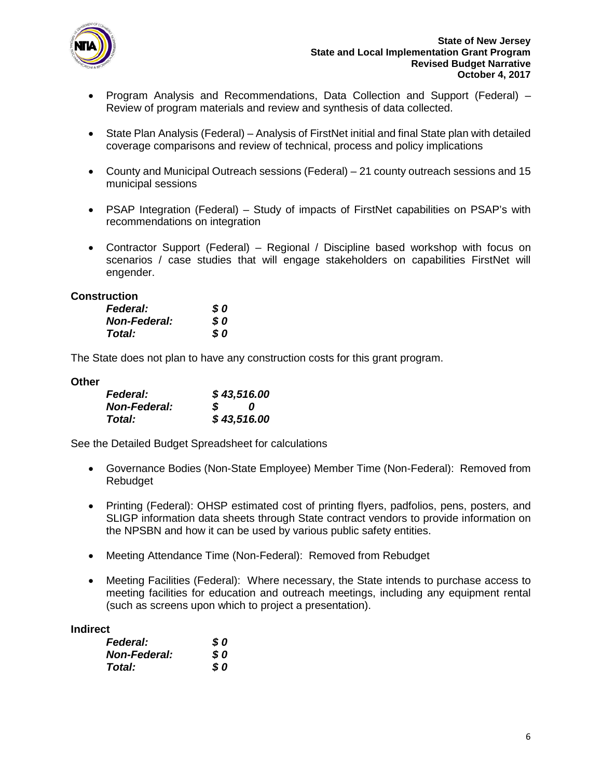

- Program Analysis and Recommendations, Data Collection and Support (Federal) Review of program materials and review and synthesis of data collected.
- State Plan Analysis (Federal) Analysis of FirstNet initial and final State plan with detailed coverage comparisons and review of technical, process and policy implications
- County and Municipal Outreach sessions (Federal) 21 county outreach sessions and 15 municipal sessions
- PSAP Integration (Federal) Study of impacts of FirstNet capabilities on PSAP's with recommendations on integration
- Contractor Support (Federal) Regional / Discipline based workshop with focus on scenarios / case studies that will engage stakeholders on capabilities FirstNet will engender.

## **Construction**

| <b>Federal:</b>     | S 0 |
|---------------------|-----|
| <b>Non-Federal:</b> | S 0 |
| Total:              | \$0 |

The State does not plan to have any construction costs for this grant program.

## **Other**

| <b>Federal:</b>     | \$43,516.00 |             |  |
|---------------------|-------------|-------------|--|
| <b>Non-Federal:</b> | S.          | n           |  |
| Total:              |             | \$43,516.00 |  |

See the Detailed Budget Spreadsheet for calculations

- Governance Bodies (Non-State Employee) Member Time (Non-Federal): Removed from Rebudget
- Printing (Federal): OHSP estimated cost of printing flyers, padfolios, pens, posters, and SLIGP information data sheets through State contract vendors to provide information on the NPSBN and how it can be used by various public safety entities.
- Meeting Attendance Time (Non-Federal): Removed from Rebudget
- Meeting Facilities (Federal): Where necessary, the State intends to purchase access to meeting facilities for education and outreach meetings, including any equipment rental (such as screens upon which to project a presentation).

## **Indirect**

| <b>Federal:</b>     | S 0 |
|---------------------|-----|
| <b>Non-Federal:</b> | S 0 |
| Total:              | S 0 |